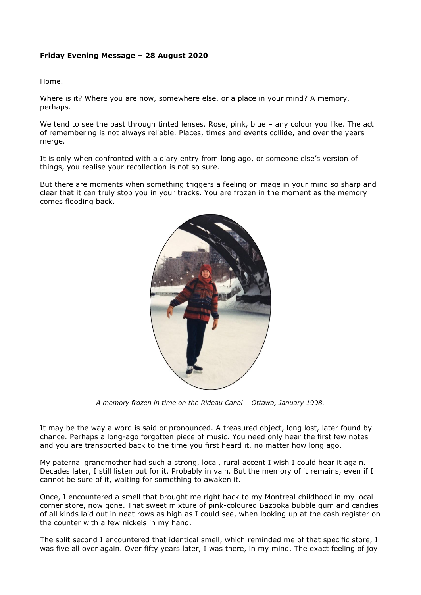## **Friday Evening Message – 28 August 2020**

Home.

Where is it? Where you are now, somewhere else, or a place in your mind? A memory, perhaps.

We tend to see the past through tinted lenses. Rose, pink, blue - any colour you like. The act of remembering is not always reliable. Places, times and events collide, and over the years merge.

It is only when confronted with a diary entry from long ago, or someone else's version of things, you realise your recollection is not so sure.

But there are moments when something triggers a feeling or image in your mind so sharp and clear that it can truly stop you in your tracks. You are frozen in the moment as the memory comes flooding back.



*A memory frozen in time on the Rideau Canal – Ottawa, January 1998.*

It may be the way a word is said or pronounced. A treasured object, long lost, later found by chance. Perhaps a long-ago forgotten piece of music. You need only hear the first few notes and you are transported back to the time you first heard it, no matter how long ago.

My paternal grandmother had such a strong, local, rural accent I wish I could hear it again. Decades later, I still listen out for it. Probably in vain. But the memory of it remains, even if I cannot be sure of it, waiting for something to awaken it.

Once, I encountered a smell that brought me right back to my Montreal childhood in my local corner store, now gone. That sweet mixture of pink-coloured Bazooka bubble gum and candies of all kinds laid out in neat rows as high as I could see, when looking up at the cash register on the counter with a few nickels in my hand.

The split second I encountered that identical smell, which reminded me of that specific store, I was five all over again. Over fifty years later, I was there, in my mind. The exact feeling of joy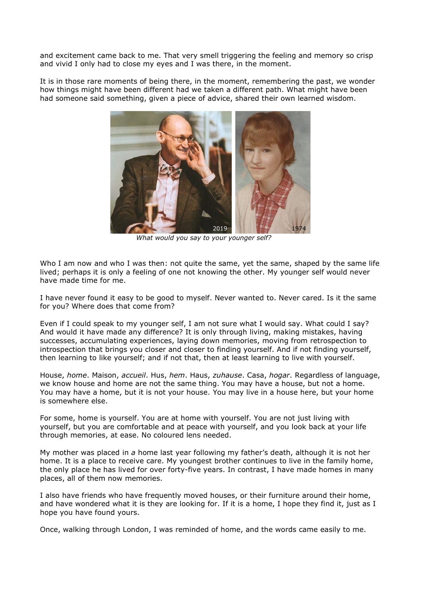and excitement came back to me. That very smell triggering the feeling and memory so crisp and vivid I only had to close my eyes and I was there, in the moment.

It is in those rare moments of being there, in the moment, remembering the past, we wonder how things might have been different had we taken a different path. What might have been had someone said something, given a piece of advice, shared their own learned wisdom.



 *What would you say to your younger self?*

Who I am now and who I was then: not quite the same, yet the same, shaped by the same life lived; perhaps it is only a feeling of one not knowing the other. My younger self would never have made time for me.

I have never found it easy to be good to myself. Never wanted to. Never cared. Is it the same for you? Where does that come from?

Even if I could speak to my younger self, I am not sure what I would say. What could I say? And would it have made any difference? It is only through living, making mistakes, having successes, accumulating experiences, laying down memories, moving from retrospection to introspection that brings you closer and closer to finding yourself. And if not finding yourself, then learning to like yourself; and if not that, then at least learning to live with yourself.

House, *home*. Maison, *accueil*. Hus, *hem*. Haus, *zuhause*. Casa, *hogar*. Regardless of language, we know house and home are not the same thing. You may have a house, but not a home. You may have a home, but it is not your house. You may live in a house here, but your home is somewhere else.

For some, home is yourself. You are at home with yourself. You are not just living with yourself, but you are comfortable and at peace with yourself, and you look back at your life through memories, at ease. No coloured lens needed.

My mother was placed in *a* home last year following my father's death, although it is not her home. It is a place to receive care. My youngest brother continues to live in the family home, the only place he has lived for over forty-five years. In contrast, I have made homes in many places, all of them now memories.

I also have friends who have frequently moved houses, or their furniture around their home, and have wondered what it is they are looking for. If it is a home, I hope they find it, just as I hope you have found yours.

Once, walking through London, I was reminded of home, and the words came easily to me.